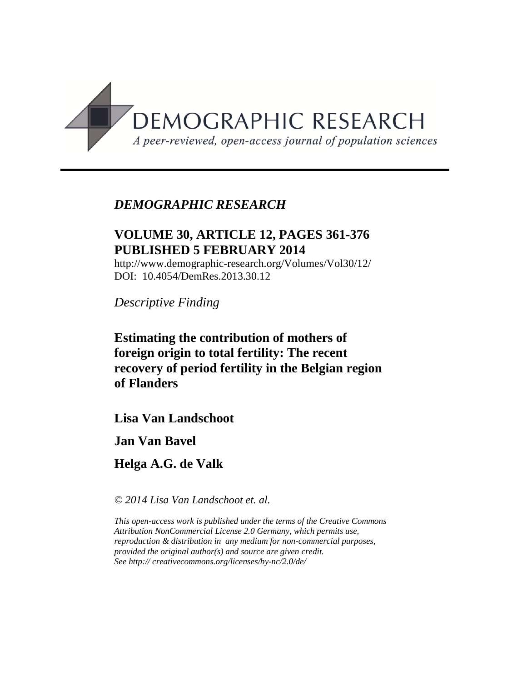

## *DEMOGRAPHIC RESEARCH*

# **VOLUME 30, ARTICLE 12, PAGES 361-376 PUBLISHED 5 FEBRUARY 2014**

http://www.demographic-research.org/Volumes/Vol30/12/ DOI: 10.4054/DemRes.2013.30.12

*Descriptive Finding*

**Estimating the contribution of mothers of foreign origin to total fertility: The recent recovery of period fertility in the Belgian region of Flanders**

**Lisa Van Landschoot**

**Jan Van Bavel**

**Helga A.G. de Valk**

*© 2014 Lisa Van Landschoot et. al.*

*This open-access work is published under the terms of the Creative Commons Attribution NonCommercial License 2.0 Germany, which permits use, reproduction & distribution in any medium for non-commercial purposes, provided the original author(s) and source are given credit. See http:// creativecommons.org/licenses/by-nc/2.0/de/*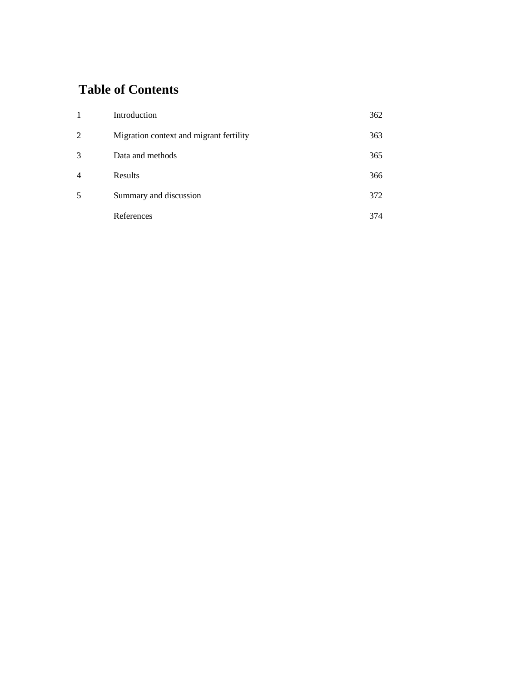# **Table of Contents**

| 1              | Introduction                            | 362 |
|----------------|-----------------------------------------|-----|
| 2              | Migration context and migrant fertility | 363 |
| 3              | Data and methods                        | 365 |
| $\overline{4}$ | Results                                 | 366 |
| 5              | Summary and discussion                  | 372 |
|                | References                              | 374 |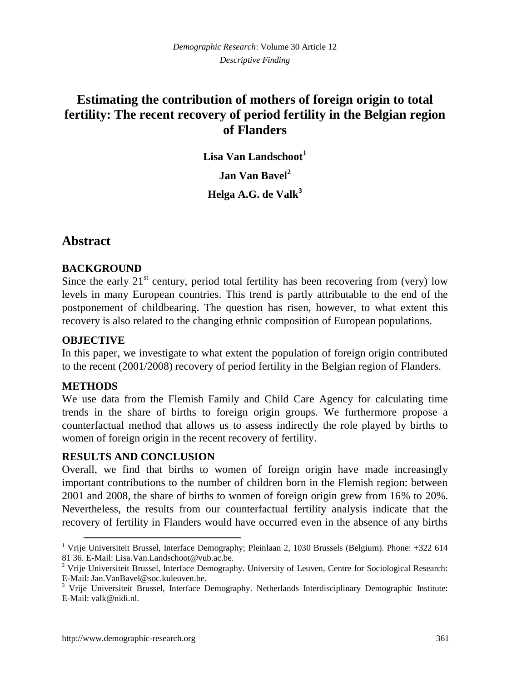# **Estimating the contribution of mothers of foreign origin to total fertility: The recent recovery of period fertility in the Belgian region of Flanders**

**Lisa Van Landschoot<sup>1</sup> Jan Van Bavel<sup>2</sup> Helga A.G. de Valk<sup>3</sup>**

### **Abstract**

#### **BACKGROUND**

Since the early  $21<sup>st</sup>$  century, period total fertility has been recovering from (very) low levels in many European countries. This trend is partly attributable to the end of the postponement of childbearing. The question has risen, however, to what extent this recovery is also related to the changing ethnic composition of European populations.

### **OBJECTIVE**

In this paper, we investigate to what extent the population of foreign origin contributed to the recent (2001/2008) recovery of period fertility in the Belgian region of Flanders.

#### **METHODS**

 $\overline{a}$ 

We use data from the Flemish Family and Child Care Agency for calculating time trends in the share of births to foreign origin groups. We furthermore propose a counterfactual method that allows us to assess indirectly the role played by births to women of foreign origin in the recent recovery of fertility.

#### **RESULTS AND CONCLUSION**

Overall, we find that births to women of foreign origin have made increasingly important contributions to the number of children born in the Flemish region: between 2001 and 2008, the share of births to women of foreign origin grew from 16% to 20%. Nevertheless, the results from our counterfactual fertility analysis indicate that the recovery of fertility in Flanders would have occurred even in the absence of any births

<sup>&</sup>lt;sup>1</sup> Vrije Universiteit Brussel, Interface Demography; Pleinlaan 2, 1030 Brussels (Belgium). Phone:  $+322$  614 81 36. E-Mail: Lisa.Van.Landschoot@vub.ac.be.

<sup>2</sup> Vrije Universiteit Brussel, Interface Demography. University of Leuven, Centre for Sociological Research: E-Mail: Jan.VanBavel@soc.kuleuven.be.

<sup>3</sup> Vrije Universiteit Brussel, Interface Demography. Netherlands Interdisciplinary Demographic Institute: E-Mail: valk@nidi.nl.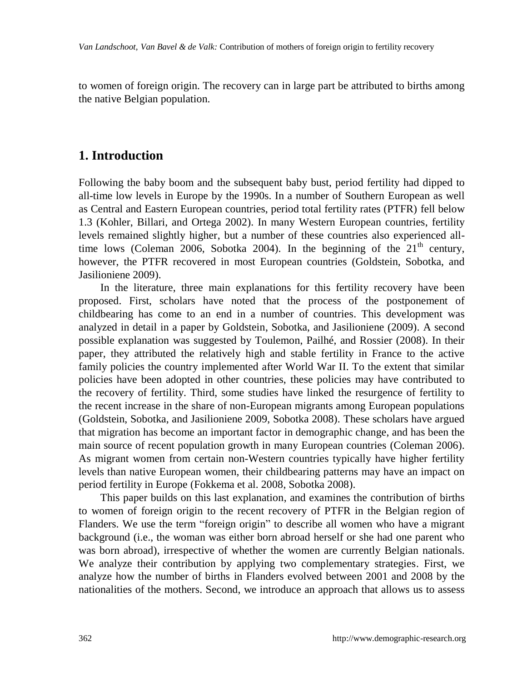to women of foreign origin. The recovery can in large part be attributed to births among the native Belgian population.

### **1. Introduction**

Following the baby boom and the subsequent baby bust, period fertility had dipped to all-time low levels in Europe by the 1990s. In a number of Southern European as well as Central and Eastern European countries, period total fertility rates (PTFR) fell below 1.3 (Kohler, Billari, and Ortega 2002). In many Western European countries, fertility levels remained slightly higher, but a number of these countries also experienced alltime lows (Coleman 2006, Sobotka 2004). In the beginning of the  $21<sup>th</sup>$  century, however, the PTFR recovered in most European countries (Goldstein, Sobotka, and Jasilioniene 2009).

In the literature, three main explanations for this fertility recovery have been proposed. First, scholars have noted that the process of the postponement of childbearing has come to an end in a number of countries. This development was analyzed in detail in a paper by Goldstein, Sobotka, and Jasilioniene (2009). A second possible explanation was suggested by Toulemon, Pailhé, and Rossier (2008). In their paper, they attributed the relatively high and stable fertility in France to the active family policies the country implemented after World War II. To the extent that similar policies have been adopted in other countries, these policies may have contributed to the recovery of fertility. Third, some studies have linked the resurgence of fertility to the recent increase in the share of non-European migrants among European populations (Goldstein, Sobotka, and Jasilioniene 2009, Sobotka 2008). These scholars have argued that migration has become an important factor in demographic change, and has been the main source of recent population growth in many European countries (Coleman 2006). As migrant women from certain non-Western countries typically have higher fertility levels than native European women, their childbearing patterns may have an impact on period fertility in Europe (Fokkema et al. 2008, Sobotka 2008).

This paper builds on this last explanation, and examines the contribution of births to women of foreign origin to the recent recovery of PTFR in the Belgian region of Flanders. We use the term "foreign origin" to describe all women who have a migrant background (i.e., the woman was either born abroad herself or she had one parent who was born abroad), irrespective of whether the women are currently Belgian nationals. We analyze their contribution by applying two complementary strategies. First, we analyze how the number of births in Flanders evolved between 2001 and 2008 by the nationalities of the mothers. Second, we introduce an approach that allows us to assess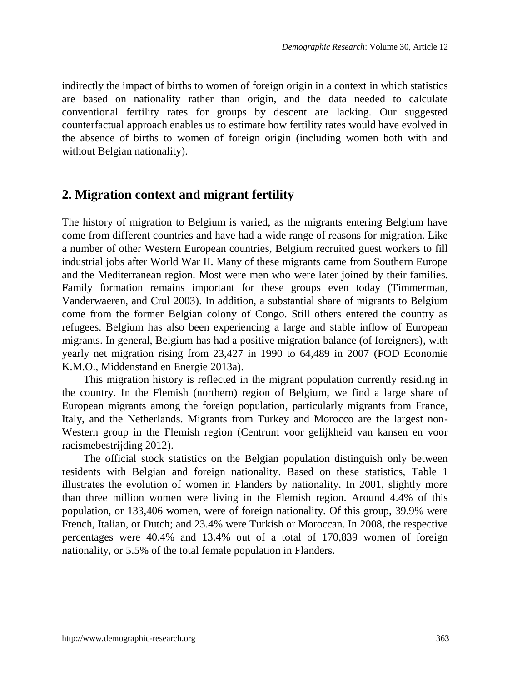indirectly the impact of births to women of foreign origin in a context in which statistics are based on nationality rather than origin, and the data needed to calculate conventional fertility rates for groups by descent are lacking. Our suggested counterfactual approach enables us to estimate how fertility rates would have evolved in the absence of births to women of foreign origin (including women both with and without Belgian nationality).

### **2. Migration context and migrant fertility**

The history of migration to Belgium is varied, as the migrants entering Belgium have come from different countries and have had a wide range of reasons for migration. Like a number of other Western European countries, Belgium recruited guest workers to fill industrial jobs after World War II. Many of these migrants came from Southern Europe and the Mediterranean region. Most were men who were later joined by their families. Family formation remains important for these groups even today (Timmerman, Vanderwaeren, and Crul 2003). In addition, a substantial share of migrants to Belgium come from the former Belgian colony of Congo. Still others entered the country as refugees. Belgium has also been experiencing a large and stable inflow of European migrants. In general, Belgium has had a positive migration balance (of foreigners), with yearly net migration rising from 23,427 in 1990 to 64,489 in 2007 (FOD Economie K.M.O., Middenstand en Energie 2013a).

This migration history is reflected in the migrant population currently residing in the country. In the Flemish (northern) region of Belgium, we find a large share of European migrants among the foreign population, particularly migrants from France, Italy, and the Netherlands. Migrants from Turkey and Morocco are the largest non-Western group in the Flemish region (Centrum voor gelijkheid van kansen en voor racismebestrijding 2012).

The official stock statistics on the Belgian population distinguish only between residents with Belgian and foreign nationality. Based on these statistics, Table 1 illustrates the evolution of women in Flanders by nationality. In 2001, slightly more than three million women were living in the Flemish region. Around 4.4% of this population, or 133,406 women, were of foreign nationality. Of this group, 39.9% were French, Italian, or Dutch; and 23.4% were Turkish or Moroccan. In 2008, the respective percentages were 40.4% and 13.4% out of a total of 170,839 women of foreign nationality, or 5.5% of the total female population in Flanders.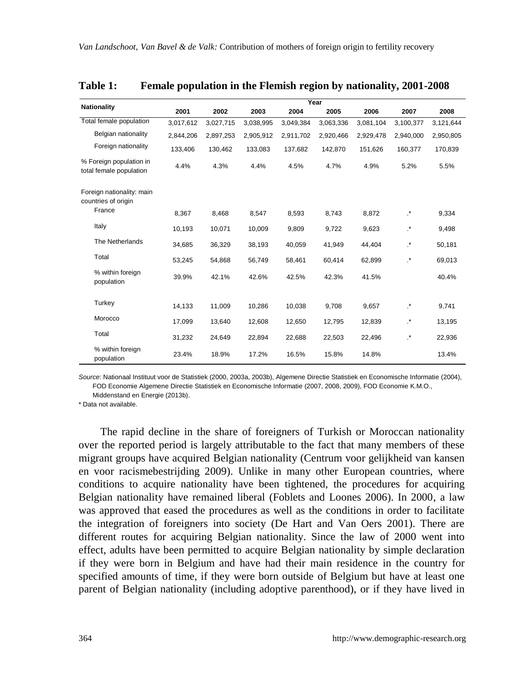|                                                    | Year      |           |           |           |           |           |                 |           |  |
|----------------------------------------------------|-----------|-----------|-----------|-----------|-----------|-----------|-----------------|-----------|--|
| <b>Nationality</b>                                 | 2001      | 2002      | 2003      | 2004      | 2005      | 2006      | 2007            | 2008      |  |
| Total female population                            | 3,017,612 | 3,027,715 | 3,038,995 | 3,049,384 | 3,063,336 | 3.081.104 | 3,100,377       | 3,121,644 |  |
| Belgian nationality                                | 2,844,206 | 2,897,253 | 2.905.912 | 2,911,702 | 2,920,466 | 2,929,478 | 2.940.000       | 2,950,805 |  |
| Foreign nationality                                | 133.406   | 130.462   | 133.083   | 137.682   | 142.870   | 151,626   | 160.377         | 170,839   |  |
| % Foreign population in<br>total female population | 4.4%      | 4.3%      | 4.4%      | 4.5%      | 4.7%      | 4.9%      | 5.2%            | 5.5%      |  |
| Foreign nationality: main<br>countries of origin   |           |           |           |           |           |           |                 |           |  |
| France                                             | 8.367     | 8,468     | 8,547     | 8,593     | 8,743     | 8,872     | $\cdot^{\star}$ | 9,334     |  |
| Italy                                              | 10,193    | 10,071    | 10,009    | 9,809     | 9,722     | 9,623     | .*              | 9,498     |  |
| The Netherlands                                    | 34,685    | 36,329    | 38,193    | 40,059    | 41,949    | 44,404    | .*              | 50,181    |  |
| Total                                              | 53,245    | 54,868    | 56,749    | 58,461    | 60,414    | 62,899    | $\cdot^{\star}$ | 69,013    |  |
| % within foreign<br>population                     | 39.9%     | 42.1%     | 42.6%     | 42.5%     | 42.3%     | 41.5%     |                 | 40.4%     |  |
| Turkey                                             | 14,133    | 11,009    | 10,286    | 10,038    | 9,708     | 9,657     | $\cdot^{\star}$ | 9,741     |  |
| Morocco                                            | 17.099    | 13,640    | 12,608    | 12.650    | 12,795    | 12,839    | $\cdot^*$       | 13,195    |  |
| Total                                              | 31,232    | 24,649    | 22,894    | 22,688    | 22,503    | 22,496    | $\cdot^*$       | 22,936    |  |
| % within foreign<br>population                     | 23.4%     | 18.9%     | 17.2%     | 16.5%     | 15.8%     | 14.8%     |                 | 13.4%     |  |

#### **Table 1: Female population in the Flemish region by nationality, 2001-2008**

*Source*: Nationaal Instituut voor de Statistiek (2000, 2003a, 2003b), Algemene Directie Statistiek en Economische Informatie (2004), FOD Economie Algemene Directie Statistiek en Economische Informatie (2007, 2008, 2009), FOD Economie K.M.O.,

Middenstand en Energie (2013b).

\* Data not available.

The rapid decline in the share of foreigners of Turkish or Moroccan nationality over the reported period is largely attributable to the fact that many members of these migrant groups have acquired Belgian nationality (Centrum voor gelijkheid van kansen en voor racismebestrijding 2009). Unlike in many other European countries, where conditions to acquire nationality have been tightened, the procedures for acquiring Belgian nationality have remained liberal (Foblets and Loones 2006). In 2000, a law was approved that eased the procedures as well as the conditions in order to facilitate the integration of foreigners into society (De Hart and Van Oers 2001). There are different routes for acquiring Belgian nationality. Since the law of 2000 went into effect, adults have been permitted to acquire Belgian nationality by simple declaration if they were born in Belgium and have had their main residence in the country for specified amounts of time, if they were born outside of Belgium but have at least one parent of Belgian nationality (including adoptive parenthood), or if they have lived in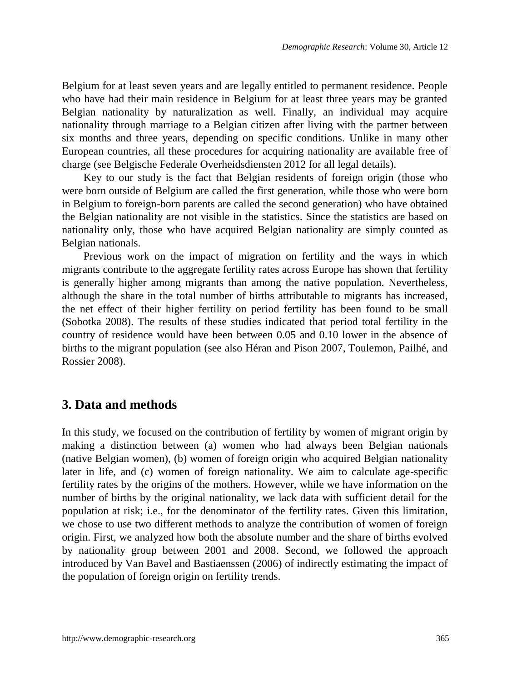Belgium for at least seven years and are legally entitled to permanent residence. People who have had their main residence in Belgium for at least three years may be granted Belgian nationality by naturalization as well. Finally, an individual may acquire nationality through marriage to a Belgian citizen after living with the partner between six months and three years, depending on specific conditions. Unlike in many other European countries, all these procedures for acquiring nationality are available free of charge (see Belgische Federale Overheidsdiensten 2012 for all legal details).

Key to our study is the fact that Belgian residents of foreign origin (those who were born outside of Belgium are called the first generation, while those who were born in Belgium to foreign-born parents are called the second generation) who have obtained the Belgian nationality are not visible in the statistics. Since the statistics are based on nationality only, those who have acquired Belgian nationality are simply counted as Belgian nationals.

Previous work on the impact of migration on fertility and the ways in which migrants contribute to the aggregate fertility rates across Europe has shown that fertility is generally higher among migrants than among the native population. Nevertheless, although the share in the total number of births attributable to migrants has increased, the net effect of their higher fertility on period fertility has been found to be small (Sobotka 2008). The results of these studies indicated that period total fertility in the country of residence would have been between 0.05 and 0.10 lower in the absence of births to the migrant population (see also Héran and Pison 2007, Toulemon, Pailhé, and Rossier 2008).

### **3. Data and methods**

In this study, we focused on the contribution of fertility by women of migrant origin by making a distinction between (a) women who had always been Belgian nationals (native Belgian women), (b) women of foreign origin who acquired Belgian nationality later in life, and (c) women of foreign nationality. We aim to calculate age-specific fertility rates by the origins of the mothers. However, while we have information on the number of births by the original nationality, we lack data with sufficient detail for the population at risk; i.e., for the denominator of the fertility rates. Given this limitation, we chose to use two different methods to analyze the contribution of women of foreign origin. First, we analyzed how both the absolute number and the share of births evolved by nationality group between 2001 and 2008. Second, we followed the approach introduced by Van Bavel and Bastiaenssen (2006) of indirectly estimating the impact of the population of foreign origin on fertility trends.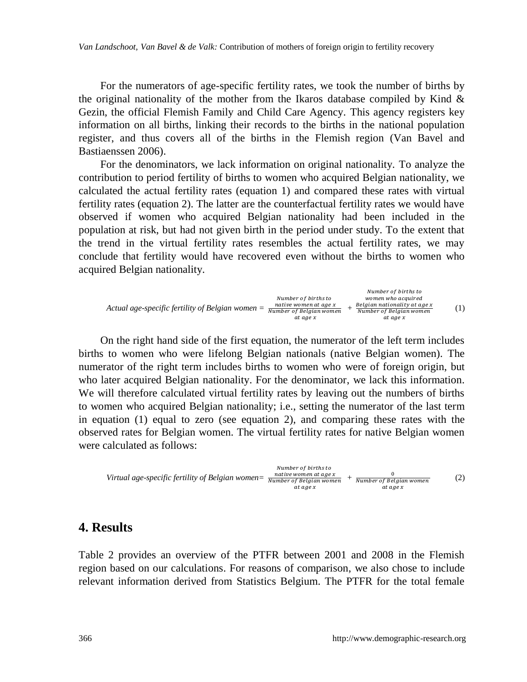For the numerators of age-specific fertility rates, we took the number of births by the original nationality of the mother from the Ikaros database compiled by Kind  $\&$ Gezin, the official Flemish Family and Child Care Agency. This agency registers key information on all births, linking their records to the births in the national population register, and thus covers all of the births in the Flemish region (Van Bavel and Bastiaenssen 2006).

For the denominators, we lack information on original nationality. To analyze the contribution to period fertility of births to women who acquired Belgian nationality, we calculated the actual fertility rates (equation 1) and compared these rates with virtual fertility rates (equation 2). The latter are the counterfactual fertility rates we would have observed if women who acquired Belgian nationality had been included in the population at risk, but had not given birth in the period under study. To the extent that the trend in the virtual fertility rates resembles the actual fertility rates, we may conclude that fertility would have recovered even without the births to women who acquired Belgian nationality.

*Actual age-specific fertility of Belgian women = +* (1)

On the right hand side of the first equation, the numerator of the left term includes births to women who were lifelong Belgian nationals (native Belgian women). The numerator of the right term includes births to women who were of foreign origin, but who later acquired Belgian nationality. For the denominator, we lack this information. We will therefore calculated virtual fertility rates by leaving out the numbers of births to women who acquired Belgian nationality; i.e., setting the numerator of the last term in equation (1) equal to zero (see equation 2), and comparing these rates with the observed rates for Belgian women. The virtual fertility rates for native Belgian women were calculated as follows:



#### **4. Results**

Table 2 provides an overview of the PTFR between 2001 and 2008 in the Flemish region based on our calculations. For reasons of comparison, we also chose to include relevant information derived from Statistics Belgium. The PTFR for the total female

designed to a control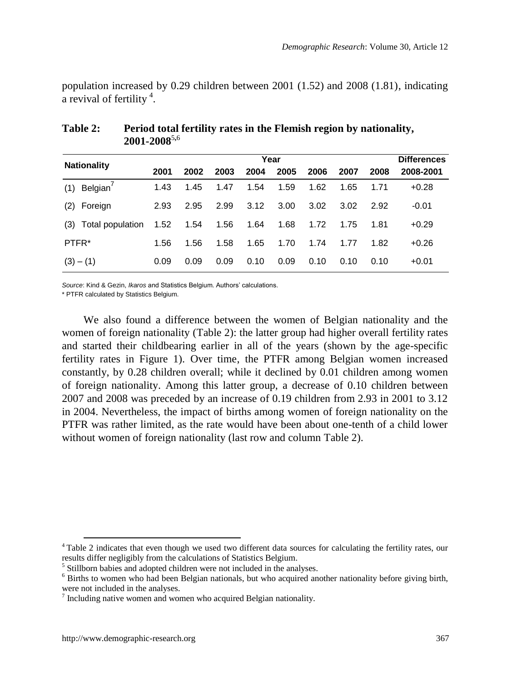population increased by 0.29 children between 2001 (1.52) and 2008 (1.81), indicating a revival of fertility  $4$ .

|                             | Year |      |      |      |      |      |      |      | <b>Differences</b> |
|-----------------------------|------|------|------|------|------|------|------|------|--------------------|
| <b>Nationality</b>          | 2001 | 2002 | 2003 | 2004 | 2005 | 2006 | 2007 | 2008 | 2008-2001          |
| Belgian <sup>'</sup><br>(1) | 1.43 | 1.45 | 1.47 | 1.54 | 1.59 | 1.62 | 1.65 | 1.71 | $+0.28$            |
| Foreign<br>(2)              | 2.93 | 2.95 | 2.99 | 3.12 | 3.00 | 3.02 | 3.02 | 2.92 | $-0.01$            |
| (3)<br>Total population     | 1.52 | 1.54 | 1.56 | 1.64 | 1.68 | 1.72 | 1.75 | 1.81 | $+0.29$            |
| PTFR*                       | 1.56 | 1.56 | 1.58 | 1.65 | 1.70 | 1.74 | 1.77 | 1.82 | $+0.26$            |
| $(3) - (1)$                 | 0.09 | 0.09 | 0.09 | 0.10 | 0.09 | 0.10 | 0.10 | 0.10 | $+0.01$            |

#### **Table 2: Period total fertility rates in the Flemish region by nationality, 2001-2008**<sup>5</sup>**,**<sup>6</sup>

*Source*: Kind & Gezin, *Ikaros* and Statistics Belgium. Authors' calculations.

\* PTFR calculated by Statistics Belgium.

We also found a difference between the women of Belgian nationality and the women of foreign nationality (Table 2): the latter group had higher overall fertility rates and started their childbearing earlier in all of the years (shown by the age-specific fertility rates in Figure 1). Over time, the PTFR among Belgian women increased constantly, by 0.28 children overall; while it declined by 0.01 children among women of foreign nationality. Among this latter group, a decrease of 0.10 children between 2007 and 2008 was preceded by an increase of 0.19 children from 2.93 in 2001 to 3.12 in 2004. Nevertheless, the impact of births among women of foreign nationality on the PTFR was rather limited, as the rate would have been about one-tenth of a child lower without women of foreign nationality (last row and column Table 2).

 $\overline{a}$ 

<sup>4</sup> Table 2 indicates that even though we used two different data sources for calculating the fertility rates, our results differ negligibly from the calculations of Statistics Belgium.

<sup>&</sup>lt;sup>5</sup> Stillborn babies and adopted children were not included in the analyses.

<sup>6</sup> Births to women who had been Belgian nationals, but who acquired another nationality before giving birth, were not included in the analyses.

<sup>&</sup>lt;sup>7</sup> Including native women and women who acquired Belgian nationality.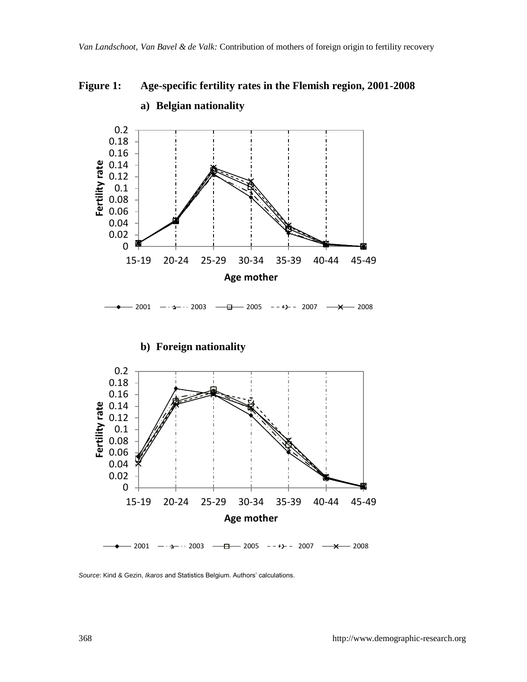**Figure 1: Age-specific fertility rates in the Flemish region, 2001-2008** 



# **a) Belgian nationality**

*Source*: Kind & Gezin, *Ikaros* and Statistics Belgium. Authors' calculations.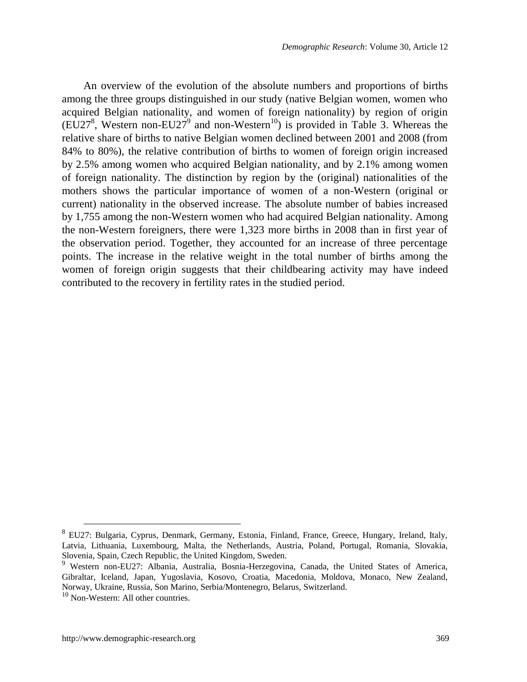An overview of the evolution of the absolute numbers and proportions of births among the three groups distinguished in our study (native Belgian women, women who acquired Belgian nationality, and women of foreign nationality) by region of origin (EU27<sup>8</sup>, Western non-EU27<sup>9</sup> and non-Western<sup>10</sup>) is provided in Table 3. Whereas the relative share of births to native Belgian women declined between 2001 and 2008 (from 84% to 80%), the relative contribution of births to women of foreign origin increased by 2.5% among women who acquired Belgian nationality, and by 2.1% among women of foreign nationality. The distinction by region by the (original) nationalities of the mothers shows the particular importance of women of a non-Western (original or current) nationality in the observed increase. The absolute number of babies increased by 1,755 among the non-Western women who had acquired Belgian nationality. Among the non-Western foreigners, there were 1,323 more births in 2008 than in first year of the observation period. Together, they accounted for an increase of three percentage points. The increase in the relative weight in the total number of births among the women of foreign origin suggests that their childbearing activity may have indeed contributed to the recovery in fertility rates in the studied period.

 $\overline{a}$ 

<sup>&</sup>lt;sup>8</sup> EU27: Bulgaria, Cyprus, Denmark, Germany, Estonia, Finland, France, Greece, Hungary, Ireland, Italy, Latvia, Lithuania, Luxembourg, Malta, the Netherlands, Austria, Poland, Portugal, Romania, Slovakia, Slovenia, Spain, Czech Republic, the United Kingdom, Sweden.

<sup>9</sup> Western non-EU27: Albania, Australia, Bosnia-Herzegovina, Canada, the United States of America, Gibraltar, Iceland, Japan, Yugoslavia, Kosovo, Croatia, Macedonia, Moldova, Monaco, New Zealand, Norway, Ukraine, Russia, Son Marino, Serbia/Montenegro, Belarus, Switzerland.

<sup>&</sup>lt;sup>10</sup> Non-Western: All other countries.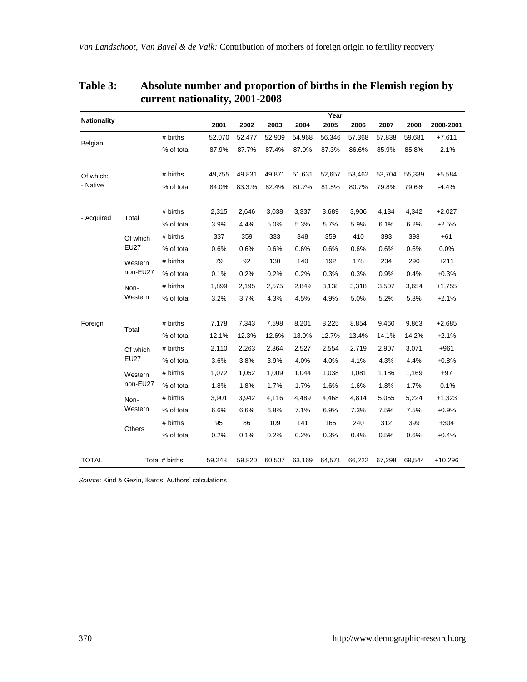|                                |             |            |        |        |        |        | Year   |        |        |         |           |
|--------------------------------|-------------|------------|--------|--------|--------|--------|--------|--------|--------|---------|-----------|
| <b>Nationality</b>             |             |            | 2001   | 2002   | 2003   | 2004   | 2005   | 2006   | 2007   | 2008    | 2008-2001 |
| Belgian                        |             | # births   | 52,070 | 52,477 | 52,909 | 54,968 | 56,346 | 57,368 | 57,838 | 59,681  | $+7,611$  |
|                                |             | % of total | 87.9%  | 87.7%  | 87.4%  | 87.0%  | 87.3%  | 86.6%  | 85.9%  | 85.8%   | $-2.1%$   |
|                                |             |            |        |        |        |        |        |        |        |         |           |
| Of which:                      |             | # births   | 49,755 | 49,831 | 49,871 | 51,631 | 52,657 | 53,462 | 53,704 | 55,339  | $+5,584$  |
| - Native                       |             | % of total | 84.0%  | 83.3.% | 82.4%  | 81.7%  | 81.5%  | 80.7%  | 79.8%  | 79.6%   | $-4.4%$   |
|                                |             |            |        |        |        |        |        |        |        |         |           |
| - Acquired                     | Total       | # births   | 2,315  | 2,646  | 3,038  | 3,337  | 3,689  | 3,906  | 4,134  | 4,342   | $+2,027$  |
|                                |             | % of total | 3.9%   | 4.4%   | 5.0%   | 5.3%   | 5.7%   | 5.9%   | 6.1%   | 6.2%    | $+2.5%$   |
|                                | Of which    | # births   | 337    | 359    | 333    | 348    | 359    | 410    | 393    | 398     | $+61$     |
|                                | <b>EU27</b> | % of total | 0.6%   | 0.6%   | 0.6%   | 0.6%   | 0.6%   | 0.6%   | 0.6%   | 0.6%    | 0.0%      |
|                                | Western     | # births   | 79     | 92     | 130    | 140    | 192    | 178    | 234    | 290     | $+211$    |
|                                | non-EU27    | % of total | 0.1%   | 0.2%   | 0.2%   | 0.2%   | 0.3%   | 0.3%   | 0.9%   | 0.4%    | $+0.3%$   |
|                                | Non-        | # births   | 1,899  | 2,195  | 2,575  | 2.849  | 3,138  | 3,318  | 3,507  | 3,654   | $+1,755$  |
|                                | Western     | % of total | 3.2%   | 3.7%   | 4.3%   | 4.5%   | 4.9%   | 5.0%   | 5.2%   | 5.3%    | $+2.1%$   |
|                                |             |            |        |        |        |        |        |        |        |         |           |
| Foreign                        | Total       | # births   | 7,178  | 7,343  | 7,598  | 8,201  | 8,225  | 8,854  | 9,460  | 9,863   | $+2,685$  |
|                                |             | % of total | 12.1%  | 12.3%  | 12.6%  | 13.0%  | 12.7%  | 13.4%  | 14.1%  | 14.2%   | $+2.1%$   |
|                                | Of which    | # births   | 2,110  | 2,263  | 2,364  | 2,527  | 2,554  | 2,719  | 2,907  | 3,071   | $+961$    |
|                                | <b>EU27</b> | % of total | 3.6%   | 3.8%   | 3.9%   | 4.0%   | 4.0%   | 4.1%   | 4.3%   | 4.4%    | $+0.8%$   |
|                                | Western     | # births   | 1,072  | 1,052  | 1,009  | 1,044  | 1,038  | 1,081  | 1,186  | 1,169   | $+97$     |
|                                | non-EU27    | % of total | 1.8%   | 1.8%   | 1.7%   | 1.7%   | 1.6%   | 1.6%   | 1.8%   | 1.7%    | $-0.1%$   |
|                                | Non-        | # births   | 3,901  | 3,942  | 4,116  | 4,489  | 4,468  | 4,814  | 5,055  | 5,224   | $+1,323$  |
|                                | Western     | % of total | 6.6%   | 6.6%   | 6.8%   | 7.1%   | 6.9%   | 7.3%   | 7.5%   | 7.5%    | $+0.9%$   |
|                                |             | # births   | 95     | 86     | 109    | 141    | 165    | 240    | 312    | 399     | $+304$    |
|                                | Others      | % of total | 0.2%   | 0.1%   | 0.2%   | 0.2%   | 0.3%   | 0.4%   | 0.5%   | 0.6%    | $+0.4%$   |
|                                |             |            |        |        |        |        |        |        |        |         |           |
| <b>TOTAL</b><br>Total # births |             | 59,248     | 59,820 | 60,507 | 63,169 | 64,571 | 66,222 | 67,298 | 69,544 | +10,296 |           |

### **Table 3: Absolute number and proportion of births in the Flemish region by current nationality, 2001-2008**

*Source*: Kind & Gezin, Ikaros. Authors' calculations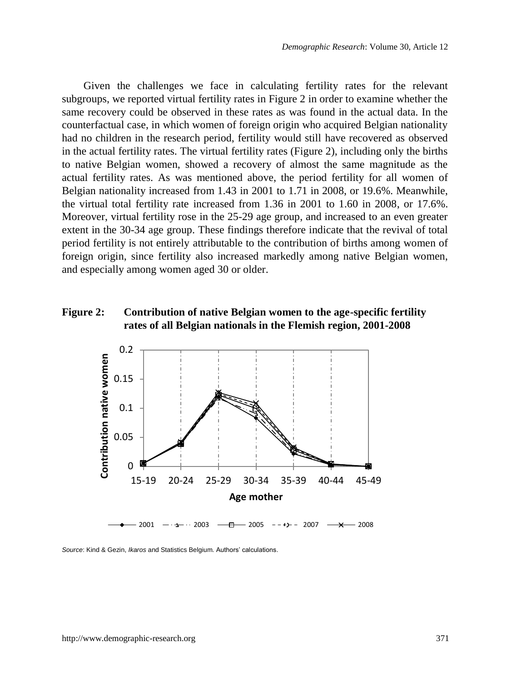Given the challenges we face in calculating fertility rates for the relevant subgroups, we reported virtual fertility rates in Figure 2 in order to examine whether the same recovery could be observed in these rates as was found in the actual data. In the counterfactual case, in which women of foreign origin who acquired Belgian nationality had no children in the research period, fertility would still have recovered as observed in the actual fertility rates. The virtual fertility rates (Figure 2), including only the births to native Belgian women, showed a recovery of almost the same magnitude as the actual fertility rates. As was mentioned above, the period fertility for all women of Belgian nationality increased from 1.43 in 2001 to 1.71 in 2008, or 19.6%. Meanwhile, the virtual total fertility rate increased from 1.36 in 2001 to 1.60 in 2008, or 17.6%. Moreover, virtual fertility rose in the 25-29 age group, and increased to an even greater extent in the 30-34 age group. These findings therefore indicate that the revival of total period fertility is not entirely attributable to the contribution of births among women of foreign origin, since fertility also increased markedly among native Belgian women, and especially among women aged 30 or older.

#### **Figure 2: Contribution of native Belgian women to the age-specific fertility rates of all Belgian nationals in the Flemish region, 2001-2008**



*Source*: Kind & Gezin, *Ikaros* and Statistics Belgium. Authors' calculations.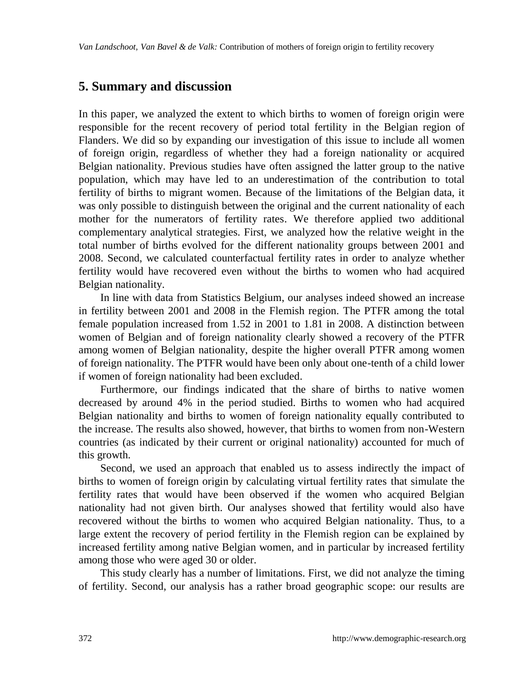### **5. Summary and discussion**

In this paper, we analyzed the extent to which births to women of foreign origin were responsible for the recent recovery of period total fertility in the Belgian region of Flanders. We did so by expanding our investigation of this issue to include all women of foreign origin, regardless of whether they had a foreign nationality or acquired Belgian nationality. Previous studies have often assigned the latter group to the native population, which may have led to an underestimation of the contribution to total fertility of births to migrant women. Because of the limitations of the Belgian data, it was only possible to distinguish between the original and the current nationality of each mother for the numerators of fertility rates. We therefore applied two additional complementary analytical strategies. First, we analyzed how the relative weight in the total number of births evolved for the different nationality groups between 2001 and 2008. Second, we calculated counterfactual fertility rates in order to analyze whether fertility would have recovered even without the births to women who had acquired Belgian nationality.

In line with data from Statistics Belgium, our analyses indeed showed an increase in fertility between 2001 and 2008 in the Flemish region. The PTFR among the total female population increased from 1.52 in 2001 to 1.81 in 2008. A distinction between women of Belgian and of foreign nationality clearly showed a recovery of the PTFR among women of Belgian nationality, despite the higher overall PTFR among women of foreign nationality. The PTFR would have been only about one-tenth of a child lower if women of foreign nationality had been excluded.

Furthermore, our findings indicated that the share of births to native women decreased by around 4% in the period studied. Births to women who had acquired Belgian nationality and births to women of foreign nationality equally contributed to the increase. The results also showed, however, that births to women from non-Western countries (as indicated by their current or original nationality) accounted for much of this growth.

Second, we used an approach that enabled us to assess indirectly the impact of births to women of foreign origin by calculating virtual fertility rates that simulate the fertility rates that would have been observed if the women who acquired Belgian nationality had not given birth. Our analyses showed that fertility would also have recovered without the births to women who acquired Belgian nationality. Thus, to a large extent the recovery of period fertility in the Flemish region can be explained by increased fertility among native Belgian women, and in particular by increased fertility among those who were aged 30 or older.

This study clearly has a number of limitations. First, we did not analyze the timing of fertility. Second, our analysis has a rather broad geographic scope: our results are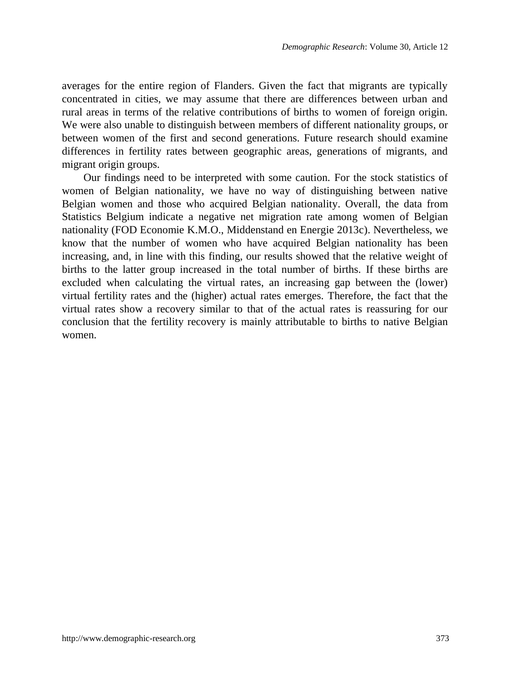averages for the entire region of Flanders. Given the fact that migrants are typically concentrated in cities, we may assume that there are differences between urban and rural areas in terms of the relative contributions of births to women of foreign origin. We were also unable to distinguish between members of different nationality groups, or between women of the first and second generations. Future research should examine differences in fertility rates between geographic areas, generations of migrants, and migrant origin groups.

Our findings need to be interpreted with some caution. For the stock statistics of women of Belgian nationality, we have no way of distinguishing between native Belgian women and those who acquired Belgian nationality. Overall, the data from Statistics Belgium indicate a negative net migration rate among women of Belgian nationality (FOD Economie K.M.O., Middenstand en Energie 2013c). Nevertheless, we know that the number of women who have acquired Belgian nationality has been increasing, and, in line with this finding, our results showed that the relative weight of births to the latter group increased in the total number of births. If these births are excluded when calculating the virtual rates, an increasing gap between the (lower) virtual fertility rates and the (higher) actual rates emerges. Therefore, the fact that the virtual rates show a recovery similar to that of the actual rates is reassuring for our conclusion that the fertility recovery is mainly attributable to births to native Belgian women.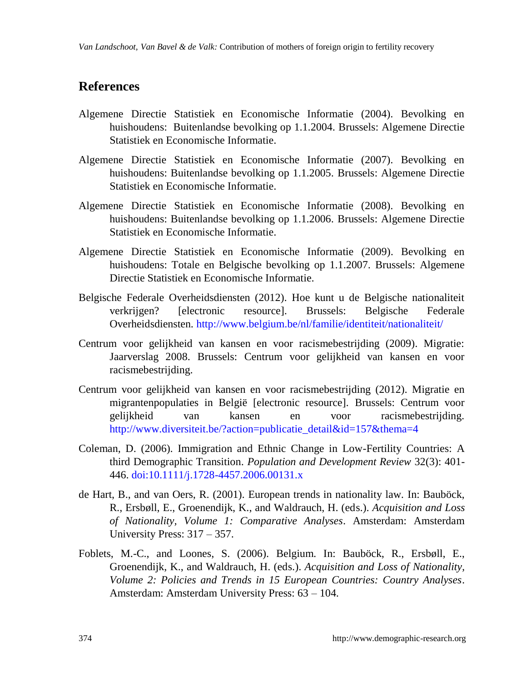### **References**

- Algemene Directie Statistiek en Economische Informatie (2004). Bevolking en huishoudens: Buitenlandse bevolking op 1.1.2004. Brussels: Algemene Directie Statistiek en Economische Informatie.
- Algemene Directie Statistiek en Economische Informatie (2007). Bevolking en huishoudens: Buitenlandse bevolking op 1.1.2005. Brussels: Algemene Directie Statistiek en Economische Informatie.
- Algemene Directie Statistiek en Economische Informatie (2008). Bevolking en huishoudens: Buitenlandse bevolking op 1.1.2006. Brussels: Algemene Directie Statistiek en Economische Informatie.
- Algemene Directie Statistiek en Economische Informatie (2009). Bevolking en huishoudens: Totale en Belgische bevolking op 1.1.2007. Brussels: Algemene Directie Statistiek en Economische Informatie.
- Belgische Federale Overheidsdiensten (2012). Hoe kunt u de Belgische nationaliteit verkrijgen? [electronic resource]. Brussels: Belgische Federale Overheidsdiensten. <http://www.belgium.be/nl/familie/identiteit/nationaliteit/>
- Centrum voor gelijkheid van kansen en voor racismebestrijding (2009). Migratie: Jaarverslag 2008. Brussels: Centrum voor gelijkheid van kansen en voor racismebestrijding.
- Centrum voor gelijkheid van kansen en voor racismebestrijding (2012). Migratie en migrantenpopulaties in België [electronic resource]. Brussels: Centrum voor gelijkheid van kansen en voor racismebestrijding. [http://www.diversiteit.be/?action=publicatie\\_detail&id=157&thema=4](http://www.diversiteit.be/?action=publicatie_detail&id=157&thema=4)
- Coleman, D. (2006). Immigration and Ethnic Change in Low-Fertility Countries: A third Demographic Transition. *Population and Development Review* 32(3): 401- 446. [doi:10.1111/j.1728-4457.2006.00131.x](http://dx.doi.org/10.1111/j.1728-4457.2006.00131.x)
- de Hart, B., and van Oers, R. (2001). European trends in nationality law. In: Bauböck, R., Ersbøll, E., Groenendijk, K., and Waldrauch, H. (eds.). *Acquisition and Loss of Nationality, Volume 1: Comparative Analyses*. Amsterdam: Amsterdam University Press: 317 – 357.
- Foblets, M.-C., and Loones, S. (2006). Belgium. In: Bauböck, R., Ersbøll, E., Groenendijk, K., and Waldrauch, H. (eds.). *Acquisition and Loss of Nationality, Volume 2: Policies and Trends in 15 European Countries: Country Analyses*. Amsterdam: Amsterdam University Press: 63 – 104.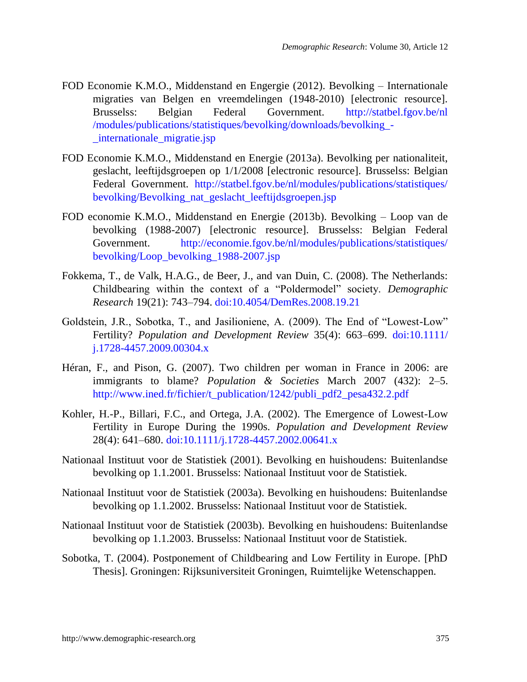- FOD Economie K.M.O., Middenstand en Engergie (2012). Bevolking Internationale migraties van Belgen en vreemdelingen (1948-2010) [electronic resource]. Brusselss: Belgian Federal Government. [http://statbel.fgov.be/nl](http://statbel.fgov.be/nl/modules/publications/statistiques/bevolking/downloads/bevolking_-_internationale_migratie.jsp) [/modules/publications/statistiques/bevolking/downloads/bevolking\\_-](http://statbel.fgov.be/nl/modules/publications/statistiques/bevolking/downloads/bevolking_-_internationale_migratie.jsp) [\\_internationale\\_migratie.jsp](http://statbel.fgov.be/nl/modules/publications/statistiques/bevolking/downloads/bevolking_-_internationale_migratie.jsp)
- FOD Economie K.M.O., Middenstand en Energie (2013a). Bevolking per nationaliteit, geslacht, leeftijdsgroepen op 1/1/2008 [electronic resource]. Brusselss: Belgian Federal Government. [http://statbel.fgov.be/nl/modules/publications/statistiques/](http://statbel.fgov.be/nl/modules/publications/statistiques/bevolking/Bevolking_nat_geslacht_leeftijdsgroepen.jsp) [bevolking/Bevolking\\_nat\\_geslacht\\_leeftijdsgroepen.jsp](http://statbel.fgov.be/nl/modules/publications/statistiques/bevolking/Bevolking_nat_geslacht_leeftijdsgroepen.jsp)
- FOD economie K.M.O., Middenstand en Energie (2013b). Bevolking Loop van de bevolking (1988-2007) [electronic resource]. Brusselss: Belgian Federal Government. [http://economie.fgov.be/nl/modules/publications/statistiques/](http://economie.fgov.be/nl/modules/publications/statistiques/bevolking/Loop_bevolking_1988-2007.jsp) [bevolking/Loop\\_bevolking\\_1988-2007.jsp](http://economie.fgov.be/nl/modules/publications/statistiques/bevolking/Loop_bevolking_1988-2007.jsp)
- Fokkema, T., de Valk, H.A.G., de Beer, J., and van Duin, C. (2008). The Netherlands: Childbearing within the context of a "Poldermodel" society. *Demographic Research* 19(21): 743–794. [doi:10.4054/DemRes.2008.19.21](http://dx.doi.org/10.4054/DemRes.2008.19.21)
- Goldstein, J.R., Sobotka, T., and Jasilioniene, A. (2009). The End of "Lowest-Low" Fertility? *Population and Development Review* 35(4): 663–699. [doi:10.1111/](http://dx.doi.org/10.1111/j.1728-4457.2009.00304.x) [j.1728-4457.2009.00304.x](http://dx.doi.org/10.1111/j.1728-4457.2009.00304.x)
- Héran, F., and Pison, G. (2007). Two children per woman in France in 2006: are immigrants to blame? *Population & Societies* March 2007 (432): 2–5. http://www.ined.fr/fichier/t\_publication/1242/publi\_pdf2\_pesa432.2.pdf
- Kohler, H.-P., Billari, F.C., and Ortega, J.A. (2002). The Emergence of Lowest-Low Fertility in Europe During the 1990s. *Population and Development Review* 28(4): 641–680. [doi:10.1111/j.1728-4457.2002.00641.x](http://dx.doi.org/10.1111/j.1728-4457.2002.00641.x)
- Nationaal Instituut voor de Statistiek (2001). Bevolking en huishoudens: Buitenlandse bevolking op 1.1.2001. Brusselss: Nationaal Instituut voor de Statistiek.
- Nationaal Instituut voor de Statistiek (2003a). Bevolking en huishoudens: Buitenlandse bevolking op 1.1.2002. Brusselss: Nationaal Instituut voor de Statistiek.
- Nationaal Instituut voor de Statistiek (2003b). Bevolking en huishoudens: Buitenlandse bevolking op 1.1.2003. Brusselss: Nationaal Instituut voor de Statistiek.
- Sobotka, T. (2004). Postponement of Childbearing and Low Fertility in Europe. [PhD Thesis]. Groningen: Rijksuniversiteit Groningen, Ruimtelijke Wetenschappen.